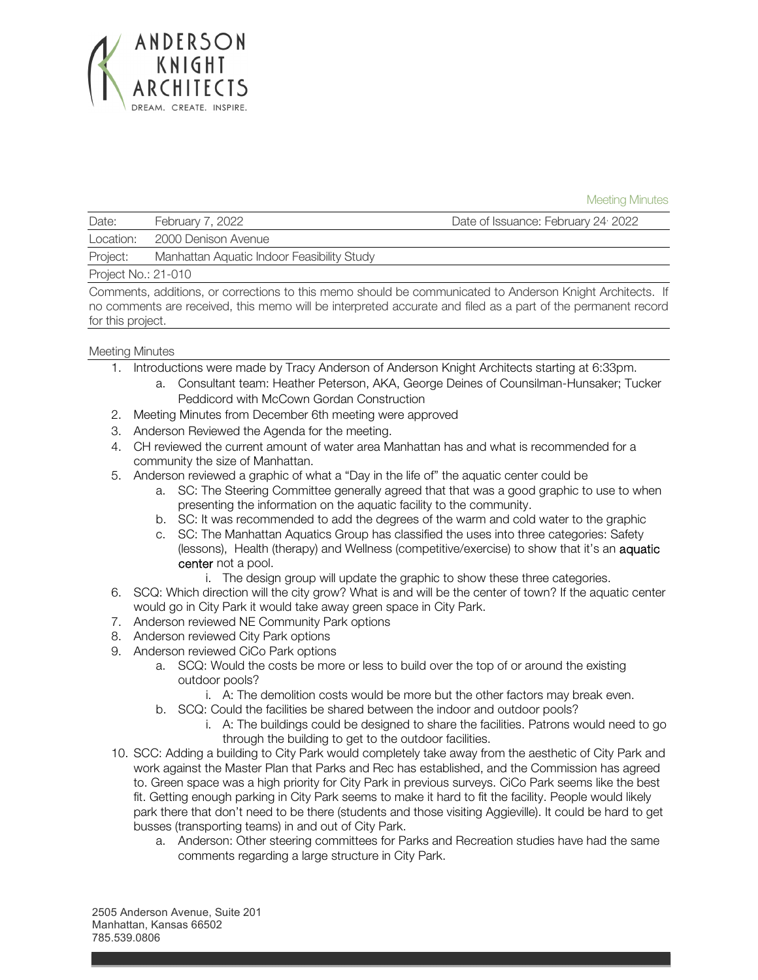

Meeting Minutes

| Date:               | February 7, 2022                           | Date of Issuance: February 24 <sup>,</sup> 2022                                                                       |
|---------------------|--------------------------------------------|-----------------------------------------------------------------------------------------------------------------------|
| Location:           | 2000 Denison Avenue                        |                                                                                                                       |
| Project:            | Manhattan Aquatic Indoor Feasibility Study |                                                                                                                       |
| Project No.: 21-010 |                                            |                                                                                                                       |
|                     |                                            | Oranisisti rahliittivat on raanistisee ta tiit arvase olevalel kerreaanistiseet ta Angleneen IZ-talet Angletteeter II |

Comments, additions, or corrections to this memo should be communicated to Anderson Knight Architects. If no comments are received, this memo will be interpreted accurate and filed as a part of the permanent record for this project.

## Meeting Minutes

- 1. Introductions were made by Tracy Anderson of Anderson Knight Architects starting at 6:33pm.
	- a. Consultant team: Heather Peterson, AKA, George Deines of Counsilman-Hunsaker; Tucker Peddicord with McCown Gordan Construction
- 2. Meeting Minutes from December 6th meeting were approved
- 3. Anderson Reviewed the Agenda for the meeting.
- 4. CH reviewed the current amount of water area Manhattan has and what is recommended for a community the size of Manhattan.
- 5. Anderson reviewed a graphic of what a "Day in the life of" the aquatic center could be
	- a. SC: The Steering Committee generally agreed that that was a good graphic to use to when presenting the information on the aquatic facility to the community.
	- b. SC: It was recommended to add the degrees of the warm and cold water to the graphic
	- c. SC: The Manhattan Aquatics Group has classified the uses into three categories: Safety (lessons), Health (therapy) and Wellness (competitive/exercise) to show that it's an aquatic center not a pool.
		- i. The design group will update the graphic to show these three categories.
- 6. SCQ: Which direction will the city grow? What is and will be the center of town? If the aquatic center would go in City Park it would take away green space in City Park.
- 7. Anderson reviewed NE Community Park options
- 8. Anderson reviewed City Park options
- 9. Anderson reviewed CiCo Park options
	- a. SCQ: Would the costs be more or less to build over the top of or around the existing outdoor pools?
		- i. A: The demolition costs would be more but the other factors may break even.
	- b. SCQ: Could the facilities be shared between the indoor and outdoor pools?
		- i. A: The buildings could be designed to share the facilities. Patrons would need to go through the building to get to the outdoor facilities.
- 10. SCC: Adding a building to City Park would completely take away from the aesthetic of City Park and work against the Master Plan that Parks and Rec has established, and the Commission has agreed to. Green space was a high priority for City Park in previous surveys. CiCo Park seems like the best fit. Getting enough parking in City Park seems to make it hard to fit the facility. People would likely park there that don't need to be there (students and those visiting Aggieville). It could be hard to get busses (transporting teams) in and out of City Park.
	- a. Anderson: Other steering committees for Parks and Recreation studies have had the same comments regarding a large structure in City Park.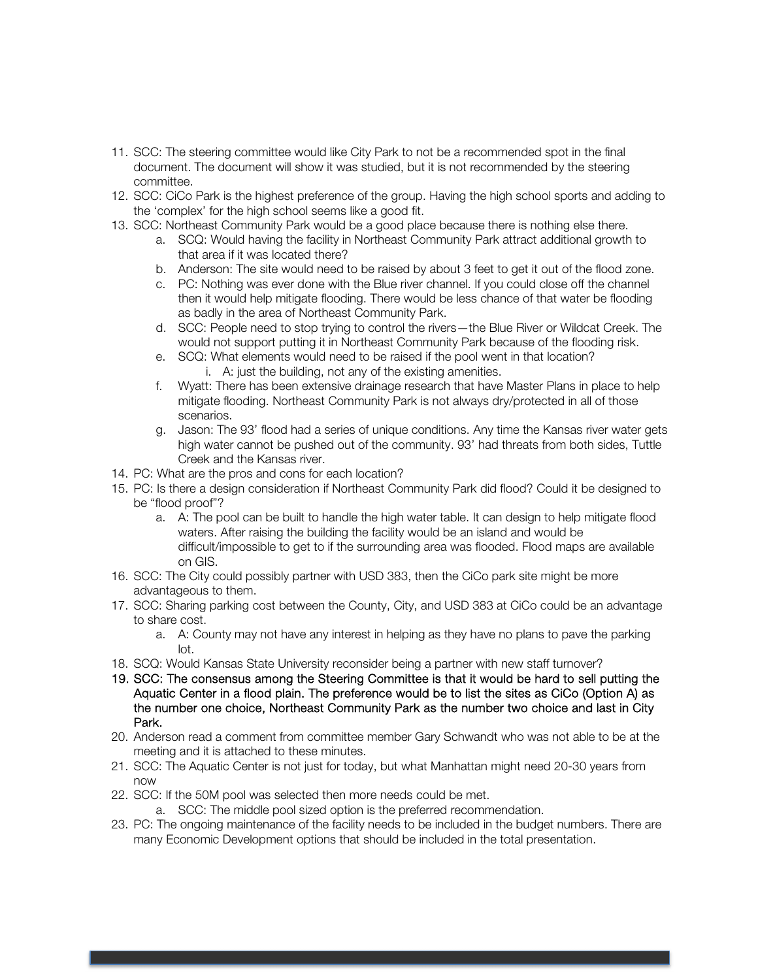- 11. SCC: The steering committee would like City Park to not be a recommended spot in the final document. The document will show it was studied, but it is not recommended by the steering committee.
- 12. SCC: CiCo Park is the highest preference of the group. Having the high school sports and adding to the 'complex' for the high school seems like a good fit.
- 13. SCC: Northeast Community Park would be a good place because there is nothing else there.
	- a. SCQ: Would having the facility in Northeast Community Park attract additional growth to that area if it was located there?
	- b. Anderson: The site would need to be raised by about 3 feet to get it out of the flood zone.
	- c. PC: Nothing was ever done with the Blue river channel. If you could close off the channel then it would help mitigate flooding. There would be less chance of that water be flooding as badly in the area of Northeast Community Park.
	- d. SCC: People need to stop trying to control the rivers—the Blue River or Wildcat Creek. The would not support putting it in Northeast Community Park because of the flooding risk.
	- e. SCQ: What elements would need to be raised if the pool went in that location? i. A: just the building, not any of the existing amenities.
	- f. Wyatt: There has been extensive drainage research that have Master Plans in place to help mitigate flooding. Northeast Community Park is not always dry/protected in all of those scenarios.
	- g. Jason: The 93' flood had a series of unique conditions. Any time the Kansas river water gets high water cannot be pushed out of the community. 93' had threats from both sides, Tuttle Creek and the Kansas river.
- 14. PC: What are the pros and cons for each location?
- 15. PC: Is there a design consideration if Northeast Community Park did flood? Could it be designed to be "flood proof"?
	- a. A: The pool can be built to handle the high water table. It can design to help mitigate flood waters. After raising the building the facility would be an island and would be difficult/impossible to get to if the surrounding area was flooded. Flood maps are available on GIS.
- 16. SCC: The City could possibly partner with USD 383, then the CiCo park site might be more advantageous to them.
- 17. SCC: Sharing parking cost between the County, City, and USD 383 at CiCo could be an advantage to share cost.
	- a. A: County may not have any interest in helping as they have no plans to pave the parking lot.
- 18. SCQ: Would Kansas State University reconsider being a partner with new staff turnover?
- 19. SCC: The consensus among the Steering Committee is that it would be hard to sell putting the Aquatic Center in a flood plain. The preference would be to list the sites as CiCo (Option A) as the number one choice, Northeast Community Park as the number two choice and last in City Park.
- 20. Anderson read a comment from committee member Gary Schwandt who was not able to be at the meeting and it is attached to these minutes.
- 21. SCC: The Aquatic Center is not just for today, but what Manhattan might need 20-30 years from now
- 22. SCC: If the 50M pool was selected then more needs could be met.
	- a. SCC: The middle pool sized option is the preferred recommendation.
- 23. PC: The ongoing maintenance of the facility needs to be included in the budget numbers. There are many Economic Development options that should be included in the total presentation.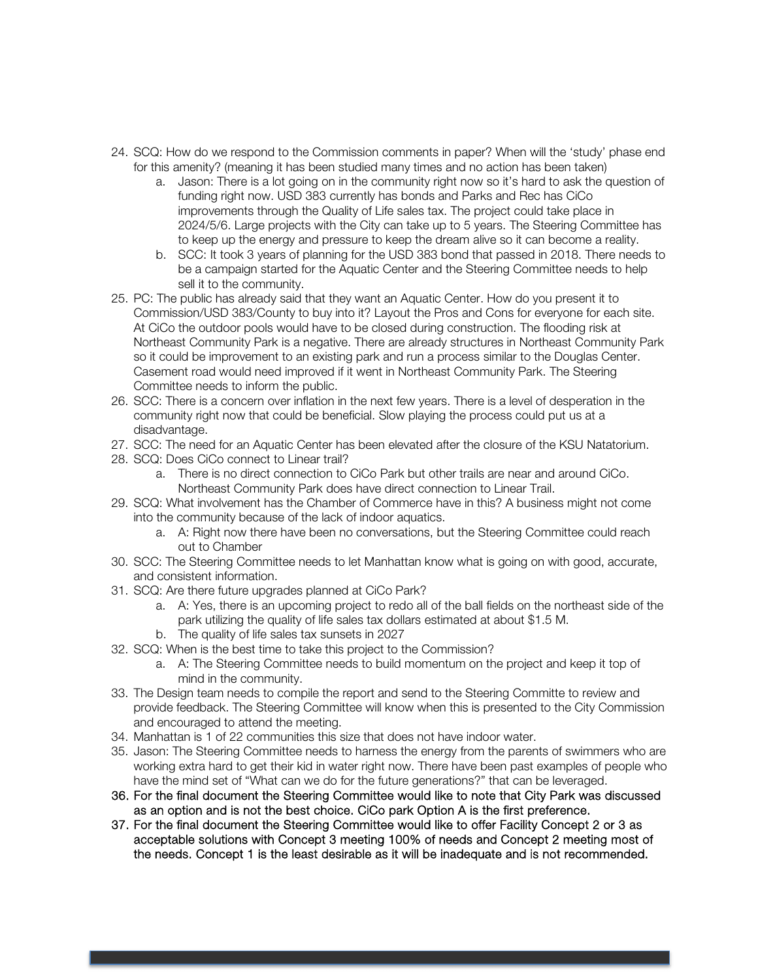- 24. SCQ: How do we respond to the Commission comments in paper? When will the 'study' phase end for this amenity? (meaning it has been studied many times and no action has been taken)
	- a. Jason: There is a lot going on in the community right now so it's hard to ask the question of funding right now. USD 383 currently has bonds and Parks and Rec has CiCo improvements through the Quality of Life sales tax. The project could take place in 2024/5/6. Large projects with the City can take up to 5 years. The Steering Committee has to keep up the energy and pressure to keep the dream alive so it can become a reality.
	- b. SCC: It took 3 years of planning for the USD 383 bond that passed in 2018. There needs to be a campaign started for the Aquatic Center and the Steering Committee needs to help sell it to the community.
- 25. PC: The public has already said that they want an Aquatic Center. How do you present it to Commission/USD 383/County to buy into it? Layout the Pros and Cons for everyone for each site. At CiCo the outdoor pools would have to be closed during construction. The flooding risk at Northeast Community Park is a negative. There are already structures in Northeast Community Park so it could be improvement to an existing park and run a process similar to the Douglas Center. Casement road would need improved if it went in Northeast Community Park. The Steering Committee needs to inform the public.
- 26. SCC: There is a concern over inflation in the next few years. There is a level of desperation in the community right now that could be beneficial. Slow playing the process could put us at a disadvantage.
- 27. SCC: The need for an Aquatic Center has been elevated after the closure of the KSU Natatorium.
- 28. SCQ: Does CiCo connect to Linear trail?
	- a. There is no direct connection to CiCo Park but other trails are near and around CiCo. Northeast Community Park does have direct connection to Linear Trail.
- 29. SCQ: What involvement has the Chamber of Commerce have in this? A business might not come into the community because of the lack of indoor aquatics.
	- a. A: Right now there have been no conversations, but the Steering Committee could reach out to Chamber
- 30. SCC: The Steering Committee needs to let Manhattan know what is going on with good, accurate, and consistent information.
- 31. SCQ: Are there future upgrades planned at CiCo Park?
	- a. A: Yes, there is an upcoming project to redo all of the ball fields on the northeast side of the park utilizing the quality of life sales tax dollars estimated at about \$1.5 M. b. The quality of life sales tax sunsets in 2027
- 32. SCQ: When is the best time to take this project to the Commission?
	- a. A: The Steering Committee needs to build momentum on the project and keep it top of mind in the community.
- 33. The Design team needs to compile the report and send to the Steering Committe to review and provide feedback. The Steering Committee will know when this is presented to the City Commission and encouraged to attend the meeting.
- 34. Manhattan is 1 of 22 communities this size that does not have indoor water.
- 35. Jason: The Steering Committee needs to harness the energy from the parents of swimmers who are working extra hard to get their kid in water right now. There have been past examples of people who have the mind set of "What can we do for the future generations?" that can be leveraged.
- 36. For the final document the Steering Committee would like to note that City Park was discussed as an option and is not the best choice. CiCo park Option A is the first preference.
- 37. For the final document the Steering Committee would like to offer Facility Concept 2 or 3 as acceptable solutions with Concept 3 meeting 100% of needs and Concept 2 meeting most of the needs. Concept 1 is the least desirable as it will be inadequate and is not recommended.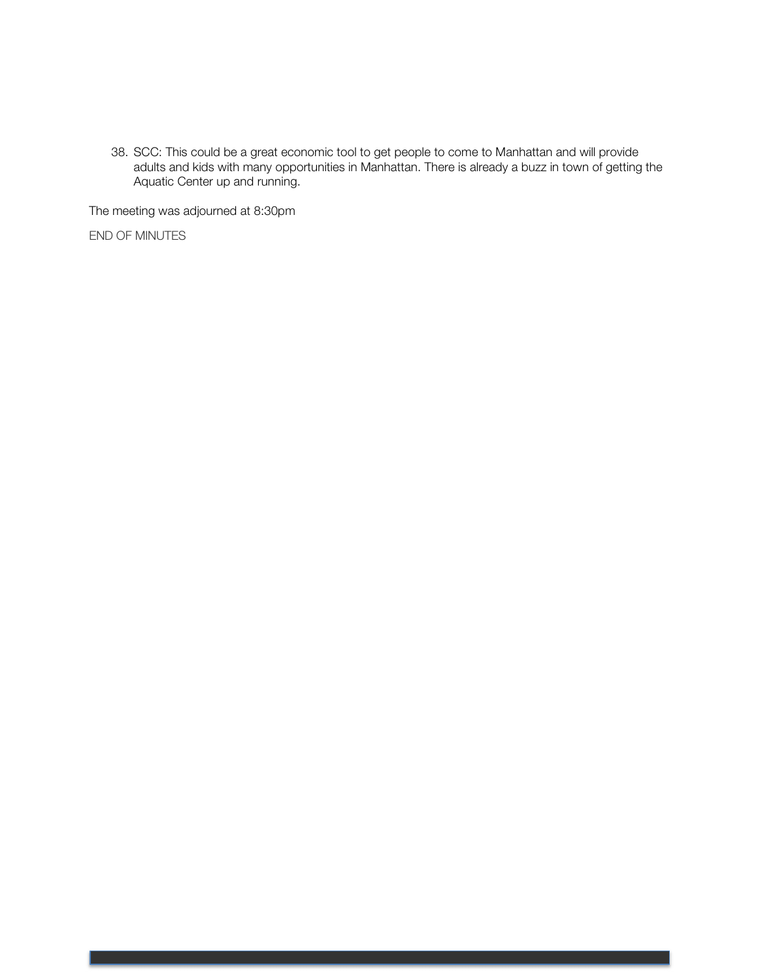38. SCC: This could be a great economic tool to get people to come to Manhattan and will provide adults and kids with many opportunities in Manhattan. There is already a buzz in town of getting the Aquatic Center up and running.

The meeting was adjourned at 8:30pm

END OF MINUTES